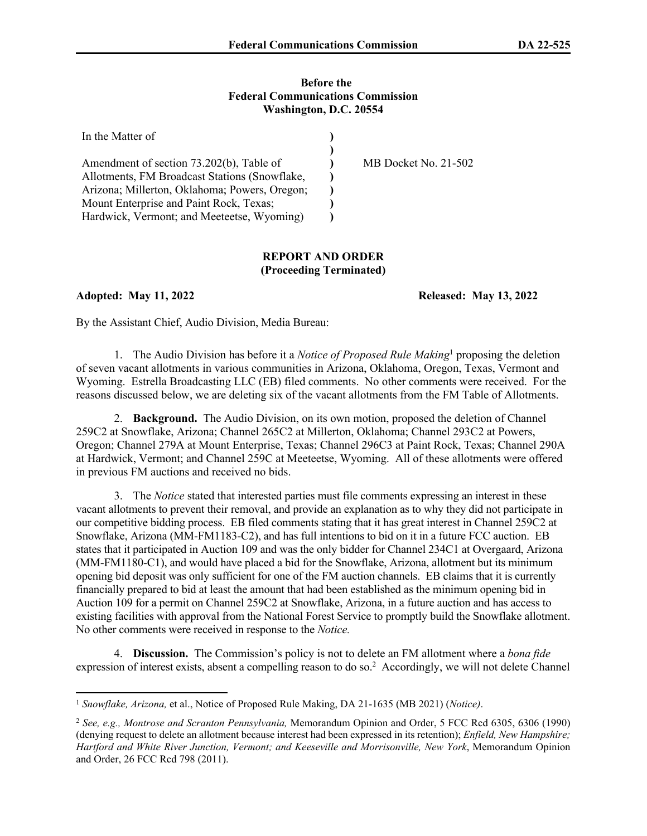## **Before the Federal Communications Commission Washington, D.C. 20554**

| In the Matter of                              |                      |
|-----------------------------------------------|----------------------|
|                                               |                      |
| Amendment of section 73.202(b), Table of      | MB Docket No. 21-502 |
| Allotments, FM Broadcast Stations (Snowflake, |                      |
| Arizona; Millerton, Oklahoma; Powers, Oregon; |                      |
| Mount Enterprise and Paint Rock, Texas;       |                      |
| Hardwick, Vermont; and Meeteetse, Wyoming)    |                      |

## **REPORT AND ORDER (Proceeding Terminated)**

**Adopted: May 11, 2022 Released: May 13, 2022**

By the Assistant Chief, Audio Division, Media Bureau:

1. The Audio Division has before it a *Notice of Proposed Rule Making*<sup>1</sup> proposing the deletion of seven vacant allotments in various communities in Arizona, Oklahoma, Oregon, Texas, Vermont and Wyoming. Estrella Broadcasting LLC (EB) filed comments. No other comments were received. For the reasons discussed below, we are deleting six of the vacant allotments from the FM Table of Allotments.

2. **Background.** The Audio Division, on its own motion, proposed the deletion of Channel 259C2 at Snowflake, Arizona; Channel 265C2 at Millerton, Oklahoma; Channel 293C2 at Powers, Oregon; Channel 279A at Mount Enterprise, Texas; Channel 296C3 at Paint Rock, Texas; Channel 290A at Hardwick, Vermont; and Channel 259C at Meeteetse, Wyoming. All of these allotments were offered in previous FM auctions and received no bids.

3. The *Notice* stated that interested parties must file comments expressing an interest in these vacant allotments to prevent their removal, and provide an explanation as to why they did not participate in our competitive bidding process. EB filed comments stating that it has great interest in Channel 259C2 at Snowflake, Arizona (MM-FM1183-C2), and has full intentions to bid on it in a future FCC auction. EB states that it participated in Auction 109 and was the only bidder for Channel 234C1 at Overgaard, Arizona (MM-FM1180-C1), and would have placed a bid for the Snowflake, Arizona, allotment but its minimum opening bid deposit was only sufficient for one of the FM auction channels. EB claims that it is currently financially prepared to bid at least the amount that had been established as the minimum opening bid in Auction 109 for a permit on Channel 259C2 at Snowflake, Arizona, in a future auction and has access to existing facilities with approval from the National Forest Service to promptly build the Snowflake allotment. No other comments were received in response to the *Notice.* 

4. **Discussion.** The Commission's policy is not to delete an FM allotment where a *bona fide*  expression of interest exists, absent a compelling reason to do so.<sup>2</sup> Accordingly, we will not delete Channel

<sup>1</sup> *Snowflake, Arizona,* et al., Notice of Proposed Rule Making, DA 21-1635 (MB 2021) (*Notice)*.

<sup>2</sup> *See, e.g., Montrose and Scranton Pennsylvania,* Memorandum Opinion and Order, 5 FCC Rcd 6305, 6306 (1990) (denying request to delete an allotment because interest had been expressed in its retention); *Enfield, New Hampshire; Hartford and White River Junction, Vermont; and Keeseville and Morrisonville, New York*, Memorandum Opinion and Order, 26 FCC Rcd 798 (2011).